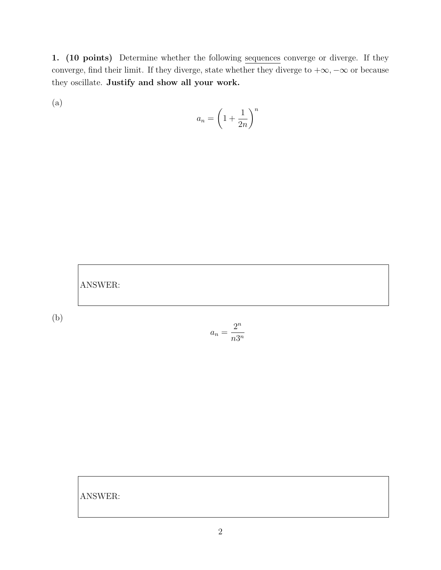1. (10 points) Determine whether the following sequences converge or diverge. If they converge, find their limit. If they diverge, state whether they diverge to  $+\infty, -\infty$  or because they oscillate. Justify and show all your work.

(a)

$$
a_n = \left(1 + \frac{1}{2n}\right)^n
$$



$$
a_n = \frac{2^n}{n3^n}
$$

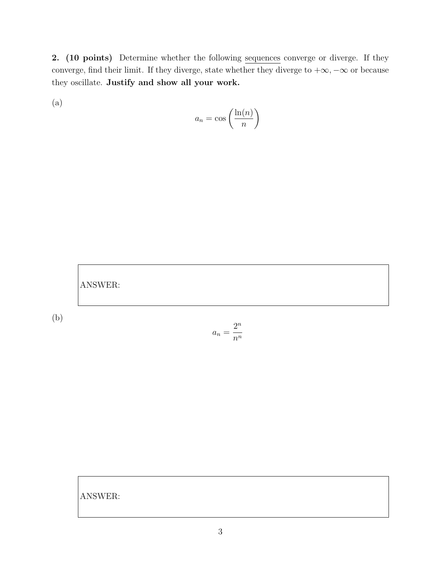2. (10 points) Determine whether the following sequences converge or diverge. If they converge, find their limit. If they diverge, state whether they diverge to  $+\infty, -\infty$  or because they oscillate. Justify and show all your work.

(a)

$$
a_n = \cos\left(\frac{\ln(n)}{n}\right)
$$



$$
a_n = \frac{2^n}{n^n}
$$

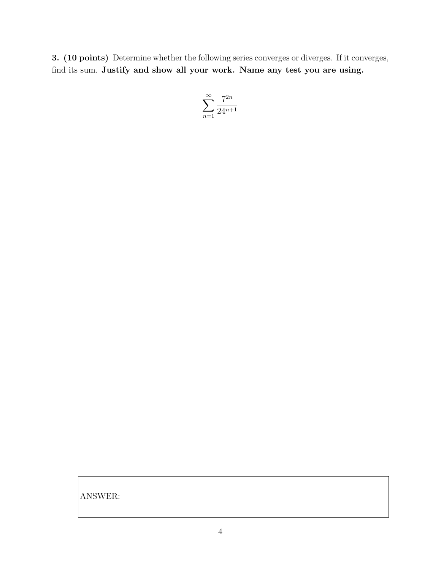3. (10 points) Determine whether the following series converges or diverges. If it converges, find its sum. Justify and show all your work. Name any test you are using.

$$
\sum_{n=1}^{\infty} \frac{7^{2n}}{24^{n+1}}
$$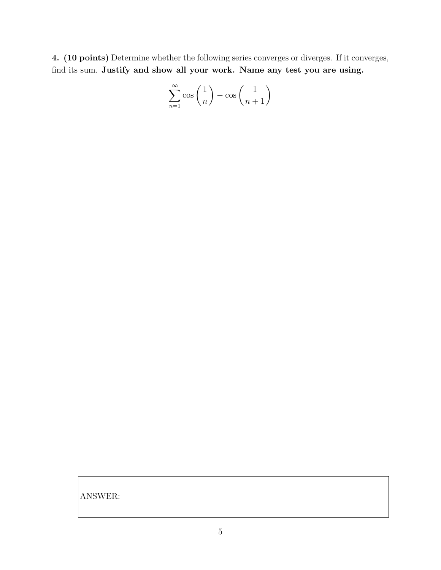4. (10 points) Determine whether the following series converges or diverges. If it converges, find its sum. Justify and show all your work. Name any test you are using.

$$
\sum_{n=1}^{\infty} \cos\left(\frac{1}{n}\right) - \cos\left(\frac{1}{n+1}\right)
$$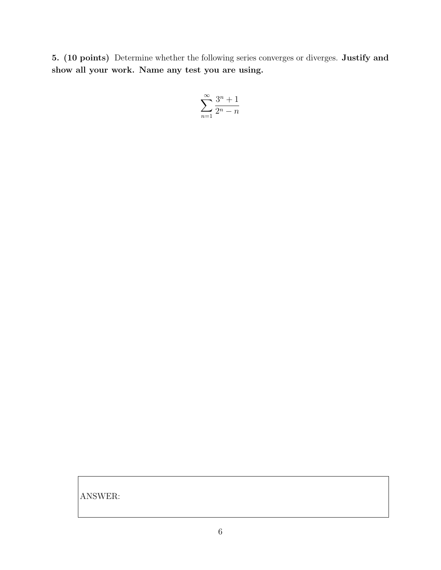5. (10 points) Determine whether the following series converges or diverges. Justify and show all your work. Name any test you are using.

$$
\sum_{n=1}^{\infty} \frac{3^n + 1}{2^n - n}
$$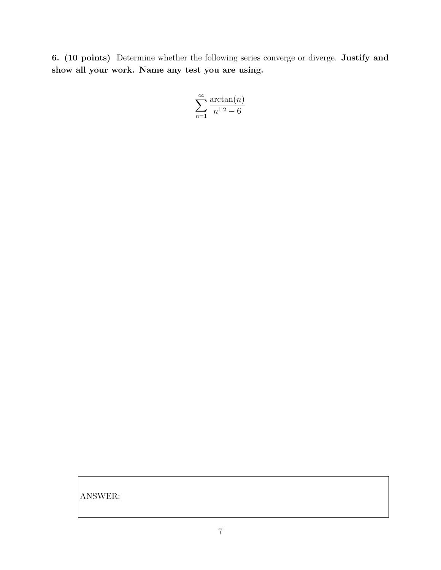6. (10 points) Determine whether the following series converge or diverge. Justify and show all your work. Name any test you are using.

$$
\sum_{n=1}^{\infty} \frac{\arctan(n)}{n^{1.2} - 6}
$$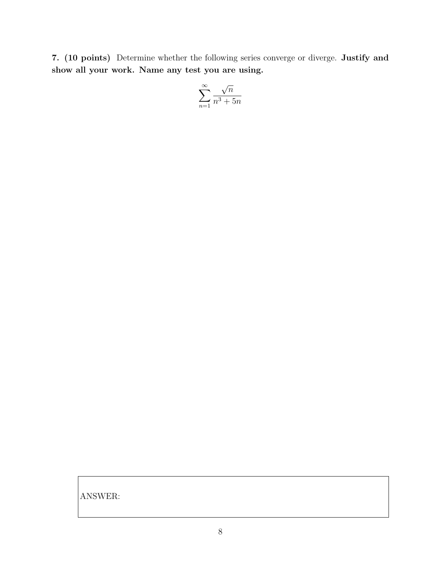7. (10 points) Determine whether the following series converge or diverge. Justify and show all your work. Name any test you are using.

$$
\sum_{n=1}^\infty \frac{\sqrt{n}}{n^3+5n}
$$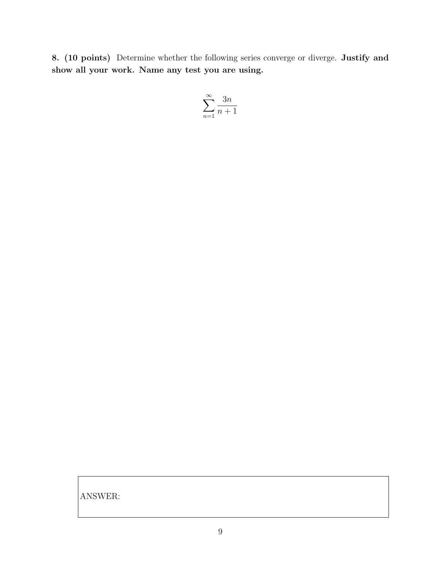8. (10 points) Determine whether the following series converge or diverge. Justify and show all your work. Name any test you are using.

$$
\sum_{n=1}^{\infty} \frac{3n}{n+1}
$$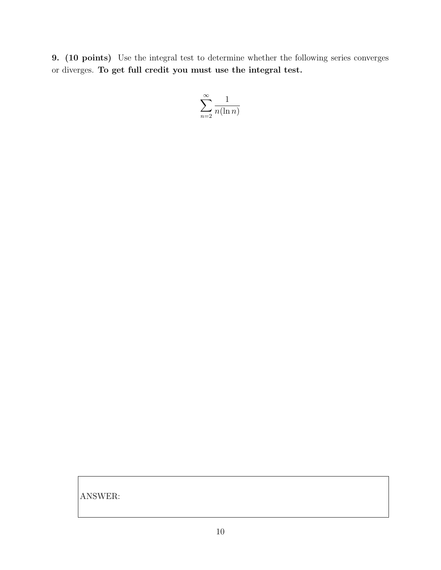9. (10 points) Use the integral test to determine whether the following series converges or diverges. To get full credit you must use the integral test.

$$
\sum_{n=2}^{\infty} \frac{1}{n(\ln n)}
$$